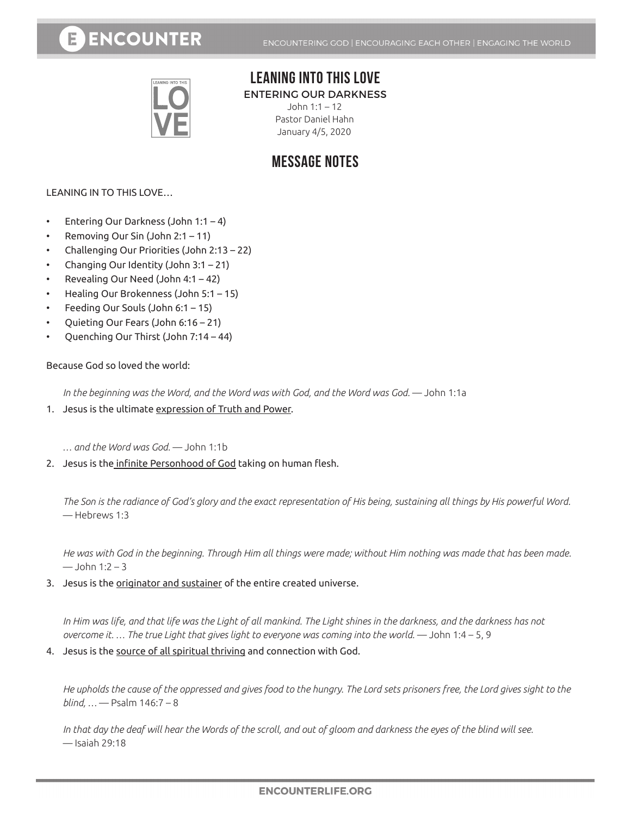# **ENCOUNTER**



### **LEANING INTO THIS LOVE**

ENTERING OUR DARKNESS

John 1:1 – 12 Pastor Daniel Hahn January 4/5, 2020

## **MESSAGE NOTES**

LEANING IN TO THIS LOVE…

- Entering Our Darkness (John 1:1 4)
- Removing Our Sin (John 2:1 11)
- Challenging Our Priorities (John 2:13 22)
- Changing Our Identity (John 3:1 21)
- Revealing Our Need (John 4:1 42)
- Healing Our Brokenness (John 5:1 15)
- Feeding Our Souls (John  $6:1 15$ )
- Quieting Our Fears (John 6:16 21)
- Quenching Our Thirst (John 7:14 44)

Because God so loved the world:

In the beginning was the Word, and the Word was with God, and the Word was God. — John 1:1a

1. Jesus is the ultimate expression of Truth and Power.

*… and the Word was God.* — John 1:1b

2. Jesus is the infinite Personhood of God taking on human flesh.

*The Son is the radiance of God's glory and the exact representation of His being, sustaining all things by His powerful Word.*  — Hebrews 1:3

*He was with God in the beginning. Through Him all things were made; without Him nothing was made that has been made.*   $-$  John 1:2 – 3

3. Jesus is the originator and sustainer of the entire created universe.

*In Him was life, and that life was the Light of all mankind. The Light shines in the darkness, and the darkness has not overcome it. ... The true Light that gives light to everyone was coming into the world.* — John 1:4 – 5, 9

#### 4. Jesus is the source of all spiritual thriving and connection with God.

*He upholds the cause of the oppressed and gives food to the hungry. The Lord sets prisoners free, the Lord gives sight to the blind, …* — Psalm 146:7 – 8

In that day the deaf will hear the Words of the scroll, and out of gloom and darkness the eyes of the blind will see. — Isaiah 29:18